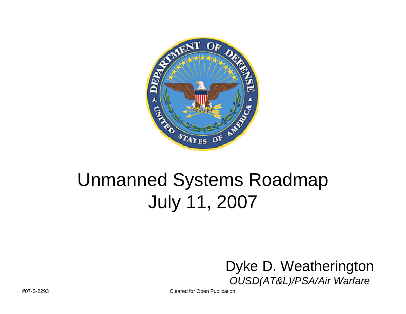

## Unmanned Systems Roadmap July 11, 2007



#07-S-2293 Cleared for Open Publication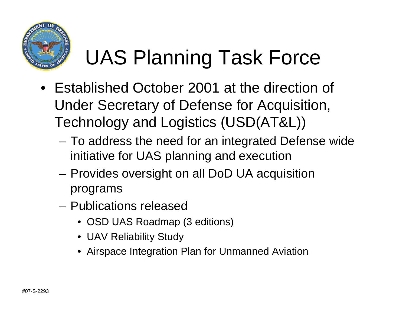

# UAS Planning Task Force

- Established October 2001 at the direction of Under Secretary of Defense for Acquisition, Technology and Logistics (USD(AT&L))
	- To address the need for an integrated Defense wide initiative for UAS planning and execution
	- – Provides oversight on all DoD UA acquisition programs
	- Publications released
		- OSD UAS Roadmap (3 editions)
		- UAV Reliability Study
		- Airspace Integration Plan for Unmanned Aviation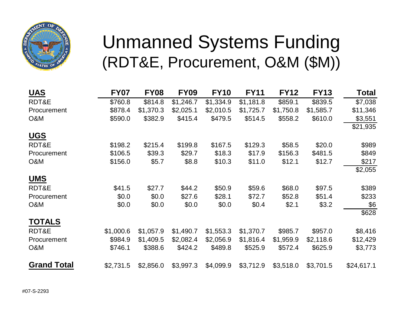

### Unmanned Systems Funding (RDT&E, Procurement, O&M (\$M))

| <b>UAS</b>         | <b>FY07</b> | <b>FY08</b> | <b>FY09</b> | <b>FY10</b> | <b>FY11</b> | <b>FY12</b> | <b>FY13</b> | <b>Total</b> |
|--------------------|-------------|-------------|-------------|-------------|-------------|-------------|-------------|--------------|
| RDT&E              | \$760.8     | \$814.8     | \$1,246.7   | \$1,334.9   | \$1,181.8   | \$859.1     | \$839.5     | \$7,038      |
| Procurement        | \$878.4     | \$1,370.3   | \$2,025.1   | \$2,010.5   | \$1,725.7   | \$1,750.8   | \$1,585.7   | \$11,346     |
| O&M                | \$590.0     | \$382.9     | \$415.4     | \$479.5     | \$514.5     | \$558.2     | \$610.0     | \$3,551      |
|                    |             |             |             |             |             |             |             | \$21,935     |
| <b>UGS</b>         |             |             |             |             |             |             |             |              |
| RDT&E              | \$198.2     | \$215.4     | \$199.8     | \$167.5     | \$129.3     | \$58.5      | \$20.0      | \$989        |
| Procurement        | \$106.5     | \$39.3      | \$29.7      | \$18.3      | \$17.9      | \$156.3     | \$481.5     | \$849        |
| O&M                | \$156.0     | \$5.7       | \$8.8       | \$10.3      | \$11.0      | \$12.1      | \$12.7      | \$217        |
|                    |             |             |             |             |             |             |             | \$2,055      |
| <b>UMS</b>         |             |             |             |             |             |             |             |              |
| RDT&E              | \$41.5      | \$27.7      | \$44.2      | \$50.9      | \$59.6      | \$68.0      | \$97.5      | \$389        |
| <b>Procurement</b> | \$0.0       | \$0.0       | \$27.6      | \$28.1      | \$72.7      | \$52.8      | \$51.4      | \$233        |
| O&M                | \$0.0       | \$0.0\$     | \$0.0       | \$0.0       | \$0.4       | \$2.1       | \$3.2       | \$6          |
|                    |             |             |             |             |             |             |             | \$628        |
| <b>TOTALS</b>      |             |             |             |             |             |             |             |              |
| RDT&E              | \$1,000.6   | \$1,057.9   | \$1,490.7   | \$1,553.3   | \$1,370.7   | \$985.7     | \$957.0     | \$8,416      |
| <b>Procurement</b> | \$984.9     | \$1,409.5   | \$2,082.4   | \$2,056.9   | \$1,816.4   | \$1,959.9   | \$2,118.6   | \$12,429     |
| O&M                | \$746.1     | \$388.6     | \$424.2     | \$489.8     | \$525.9     | \$572.4     | \$625.9     | \$3,773      |
| <b>Grand Total</b> | \$2,731.5   | \$2,856.0   | \$3,997.3   | \$4,099.9   | \$3,712.9   | \$3,518.0   | \$3,701.5   | \$24,617.1   |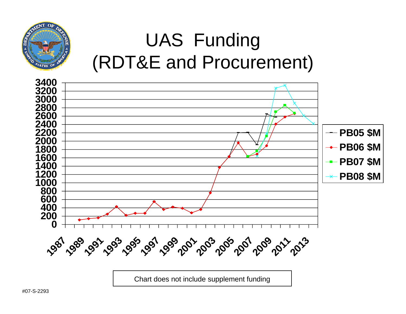

## UAS Funding (RDT&E and Procurement)



Chart does not include supplement funding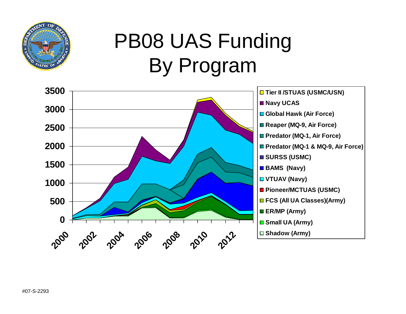

# PB08 UAS Funding By Program

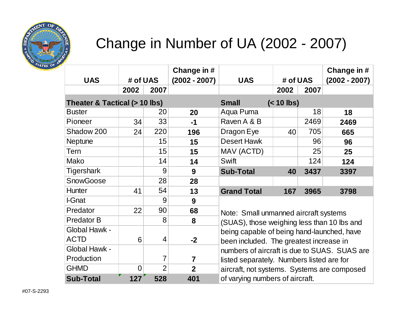

#### Change in Number of UA (2002 - 2007)

| <b>UAS</b>                    | # of UAS |                | Change in #<br>$(2002 - 2007)$ | <b>UAS</b>                                                                           | # of UAS |      | Change in #<br>$(2002 - 2007)$ |  |  |
|-------------------------------|----------|----------------|--------------------------------|--------------------------------------------------------------------------------------|----------|------|--------------------------------|--|--|
|                               | 2002     | 2007           |                                |                                                                                      | 2002     | 2007 |                                |  |  |
| Theater & Tactical (> 10 lbs) |          |                |                                | <b>Small</b><br>$(< 10$ lbs)                                                         |          |      |                                |  |  |
| <b>Buster</b>                 |          | 20             | 20                             | Aqua Puma                                                                            |          | 18   | 18                             |  |  |
| Pioneer                       | 34       | 33             | $-1$                           | Raven A & B                                                                          |          | 2469 | 2469                           |  |  |
| Shadow 200                    | 24       | 220            | 196                            | Dragon Eye                                                                           | 40       | 705  | 665                            |  |  |
| <b>Neptune</b>                |          | 15             | 15                             | <b>Desert Hawk</b>                                                                   |          | 96   | 96                             |  |  |
| <b>Tern</b>                   |          | 15             | 15                             | MAV (ACTD)                                                                           |          | 25   | 25                             |  |  |
| Mako                          |          | 14             | 14                             | Swift                                                                                |          | 124  | 124                            |  |  |
| Tigershark                    |          | 9              | 9                              | <b>Sub-Total</b>                                                                     | 40       | 3437 | 3397                           |  |  |
| <b>SnowGoose</b>              |          | 28             | 28                             |                                                                                      |          |      |                                |  |  |
| <b>Hunter</b>                 | 41       | 54             | 13                             | <b>Grand Total</b>                                                                   | 167      | 3965 | 3798                           |  |  |
| I-Gnat                        |          | 9              | 9                              |                                                                                      |          |      |                                |  |  |
| Predator                      | 22       | 90             | 68                             | Note: Small unmanned aircraft systems<br>(SUAS), those weighing less than 10 lbs and |          |      |                                |  |  |
| <b>Predator B</b>             |          | 8              | 8                              |                                                                                      |          |      |                                |  |  |
| Global Hawk -                 |          |                |                                | being capable of being hand-launched, have                                           |          |      |                                |  |  |
| <b>ACTD</b>                   | 6        | $\overline{4}$ | $-2$                           | been included. The greatest increase in                                              |          |      |                                |  |  |
| Global Hawk -                 |          |                |                                | numbers of aircraft is due to SUAS. SUAS are                                         |          |      |                                |  |  |
| Production                    |          | $\overline{7}$ | 7                              | listed separately. Numbers listed are for                                            |          |      |                                |  |  |
| <b>GHMD</b>                   | 0        | $\overline{2}$ | $\overline{2}$                 | aircraft, not systems. Systems are composed                                          |          |      |                                |  |  |
| <b>Sub-Total</b>              | 127      | 528            | 401                            | of varying numbers of aircraft.                                                      |          |      |                                |  |  |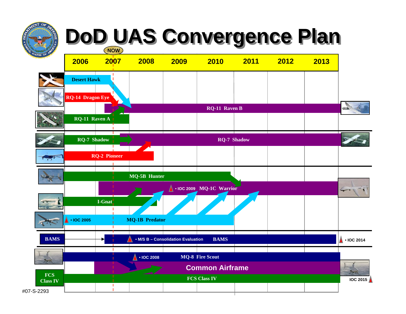#### **DoD UAS Convergence Plan DoD UAS Convergence Plan NOW**

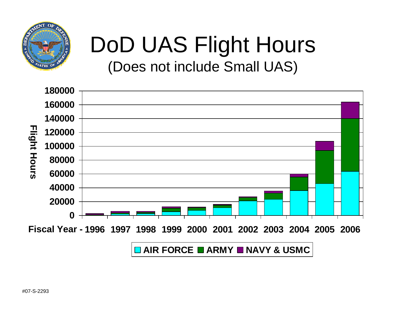

## DoD UAS Flight Hours (Does not include Small UAS)

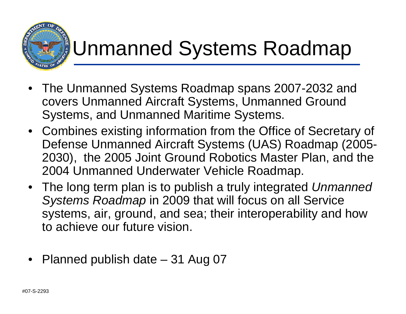

## Unmanned Systems Roadmap

- The Unmanned Systems Roadmap spans 2007-2032 and covers Unmanned Aircraft Systems, Unmanned Ground Systems, and Unmanned Maritime Systems.
- Combines existing information from the Office of Secretary of Defense Unmanned Aircraft Systems (UAS) Roadmap (2005- 2030), the 2005 Joint Ground Robotics Master Plan, and the 2004 Unmanned Underwater Vehicle Roadmap.
- The long term plan is to publish a truly integrated *Unmanned Systems Roadmap* in 2009 that will focus on all Service systems, air, ground, and sea; their interoperability and how to achieve our future vision.
- $\bullet$ Planned publish date – 31 Aug 07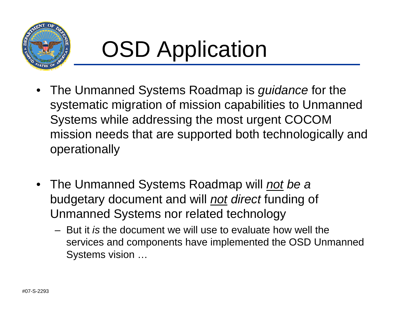

# OSD Application

- The Unmanned Systems Roadmap is *guidance* for the systematic migration of mission capabilities to Unmanned Systems while addressing the most urgent COCOM mission needs that are supported both technologically and operationally
- The Unmanned Systems Roadmap will *not be a*  budgetary document and will *not direct* funding of Unmanned Systems nor related technology
	- But it *is* the document we will use to evaluate how well the services and components have implemented the OSD Unmanned Systems vision …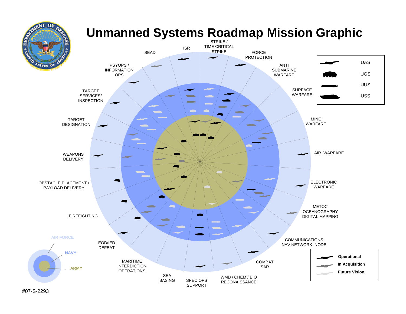

#07-S-2293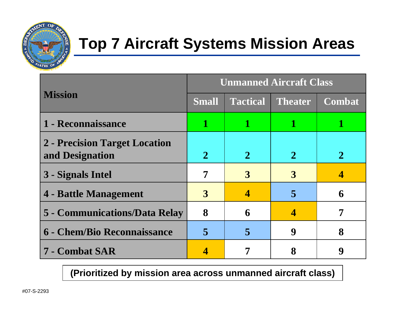

#### **Top 7 Aircraft Systems Mission Areas**

|                                                  | <b>Unmanned Aircraft Class</b> |                 |                |               |  |  |
|--------------------------------------------------|--------------------------------|-----------------|----------------|---------------|--|--|
| <b>Mission</b>                                   | <b>Small</b>                   | <b>Tactical</b> | <b>Theater</b> | <b>Combat</b> |  |  |
| 1 - Reconnaissance                               |                                | 1               |                |               |  |  |
| 2 - Precision Target Location<br>and Designation | $\mathbf 2$                    | $\mathbf{2}$    | $\mathbf 2$    |               |  |  |
| 3 - Signals Intel                                | 7                              | 3               | 3              |               |  |  |
| 4 - Battle Management                            | 3                              |                 | 5              | 6             |  |  |
| 5 - Communications/Data Relay                    | 8                              | 6               | 4              |               |  |  |
| <b>6 - Chem/Bio Reconnaissance</b>               | 5                              | 5               | 9              | 8             |  |  |
| 7 - Combat SAR                                   |                                |                 |                | Q             |  |  |

**(Prioritized by mission area across unmanned aircraft class)**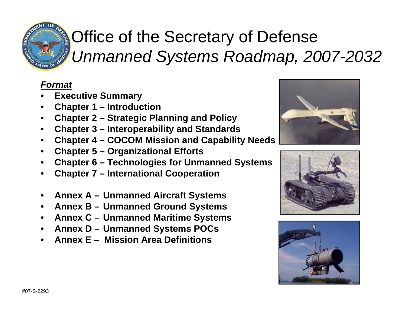

### Office of the Secretary of Defense *Unmanned Systems Roadmap, 2007-2032*

#### *Format*

- •**Executive Summary**
- •**Chapter 1 – Introduction**
- •**Chapter 2 – Strategic Planning and Policy**
- $\bullet$ **Chapter 3 – Interoperability and Standards**
- •**Chapter 4 – COCOM Mission and Capability Needs**
- $\bullet$ **Chapter 5 – Organizational Efforts**
- •**Chapter 6 – Technologies for Unmanned Systems**
- •**Chapter 7 – International Cooperation**
- •**Annex A – Unmanned Aircraft Systems**
- $\bullet$ **Annex B – Unmanned Ground Systems**
- $\bullet$ **Annex C – Unmanned Maritime Systems**
- $\bullet$ **Annex D – Unmanned Systems POCs**
- •**Annex E – Mission Area Definitions**





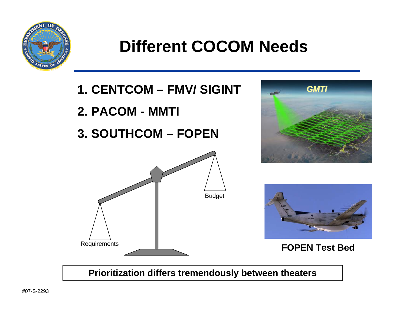

#### **Different COCOM Needs**

- **1. CENTCOM – FMV/ SIGINT**
- **2. PACOM - MMTI**
- **3. SOUTHCOM – FOPEN**







**FOPEN Test Bed**

**Prioritization differs tremendously between theaters**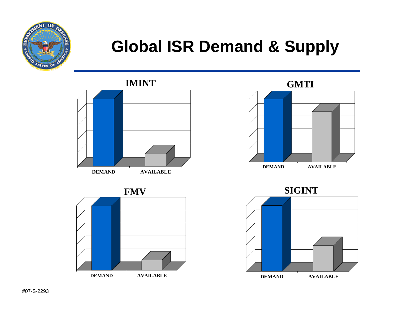

#### **Global ISR Demand & Supply**

**IMINT**





**GMTI**



**SIGINT**

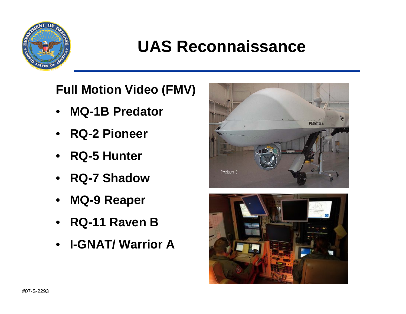

#### **UAS Reconnaissance**

**Full Motion Video (FMV)**

- $\bullet$ **MQ-1B Predator**
- **RQ-2 Pioneer**
- **RQ-5 Hunter**
- **RQ-7 Shadow**
- **MQ-9 Reaper**
- **RQ-11 Raven B**
- **I-GNAT/ Warrior A**



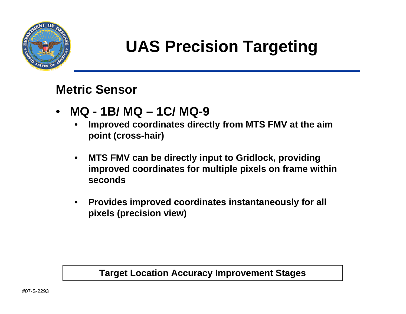

### **UAS Precision Targeting**

#### **Metric Sensor**

- **MQ - 1B/ MQ – 1C/ MQ-9**
	- • **Improved coordinates directly from MTS FMV at the aim point (cross-hair)**
	- $\bullet$  **MTS FMV can be directly input to Gridlock, providing improved coordinates for multiple pixels on frame within seconds**
	- $\bullet$  **Provides improved coordinates instantaneously for all pixels (precision view)**

#### **Target Location Accuracy Improvement Stages**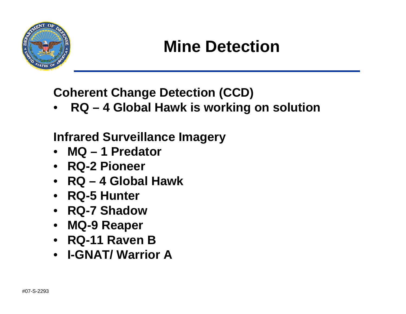

#### **Mine Detection**

**Coherent Change Detection (CCD)**

•**RQ – 4 Global Hawk is working on solution**

#### **Infrared Surveillance Imagery**

- **MQ – 1 Predator**
- **RQ-2 Pioneer**
- **RQ – 4 Global Hawk**
- **RQ-5 Hunter**
- **RQ-7 Shadow**
- **MQ-9 Reaper**
- **RQ-11 Raven B**
- **I-GNAT/ Warrior A**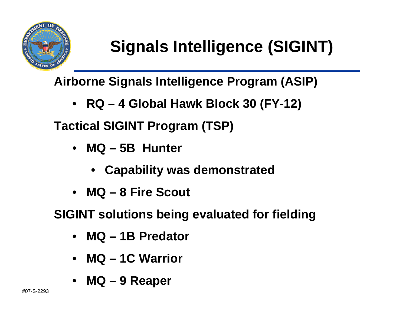

## **Signals Intelligence (SIGINT)**

**Airborne Signals Intelligence Program (ASIP)**

• **RQ – 4 Global Hawk Block 30 (FY-12)**

**Tactical SIGINT Program (TSP)**

- **MQ – 5B Hunter** 
	- **Capability was demonstrated**
- **MQ – 8 Fire Scout**

**SIGINT solutions being evaluated for fielding**

- **MQ – 1B Predator**
- **MQ – 1C Warrior**
- **MQ – 9 Reaper**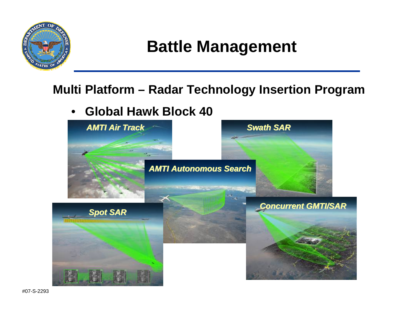

#### **Battle Management**

#### **Multi Platform – Radar Technology Insertion Program**

•**Global Hawk Block 40** 



#07-S-2293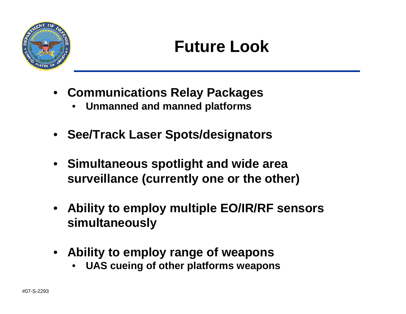

#### **Future Look**

- **Communications Relay Packages**
	- •**Unmanned and manned platforms**
- **See/Track Laser Spots/designators**
- **Simultaneous spotlight and wide area surveillance (currently one or the other)**
- **Ability to employ multiple EO/IR/RF sensors simultaneously**
- **Ability to employ range of weapons** 
	- •**UAS cueing of other platforms weapons**